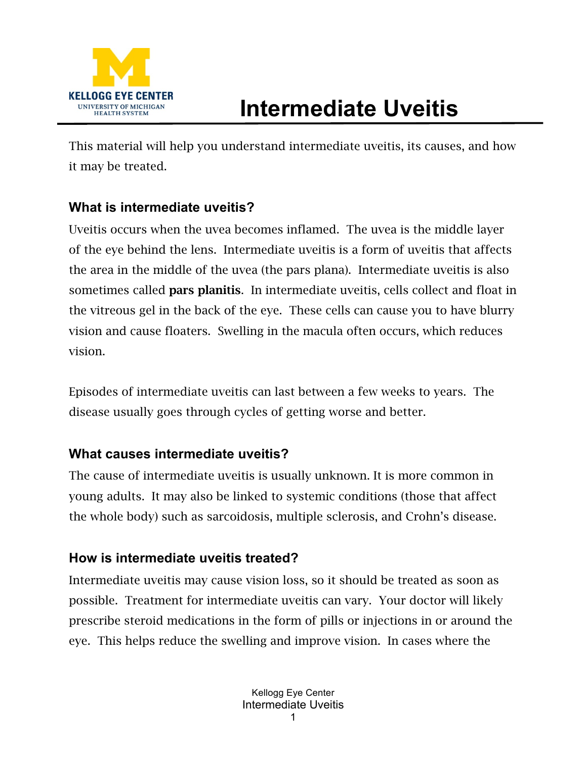

## **Intermediate Uveitis**

This material will help you understand intermediate uveitis, its causes, and how it may be treated.

## **What is intermediate uveitis?**

Uveitis occurs when the uvea becomes inflamed. The uvea is the middle layer of the eye behind the lens. Intermediate uveitis is a form of uveitis that affects the area in the middle of the uvea (the pars plana). Intermediate uveitis is also sometimes called **pars planitis**. In intermediate uveitis, cells collect and float in the vitreous gel in the back of the eye. These cells can cause you to have blurry vision and cause floaters. Swelling in the macula often occurs, which reduces vision.

Episodes of intermediate uveitis can last between a few weeks to years. The disease usually goes through cycles of getting worse and better.

## **What causes intermediate uveitis?**

The cause of intermediate uveitis is usually unknown. It is more common in young adults. It may also be linked to systemic conditions (those that affect the whole body) such as sarcoidosis, multiple sclerosis, and Crohn's disease.

## **How is intermediate uveitis treated?**

Intermediate uveitis may cause vision loss, so it should be treated as soon as possible. Treatment for intermediate uveitis can vary. Your doctor will likely prescribe steroid medications in the form of pills or injections in or around the eye. This helps reduce the swelling and improve vision. In cases where the